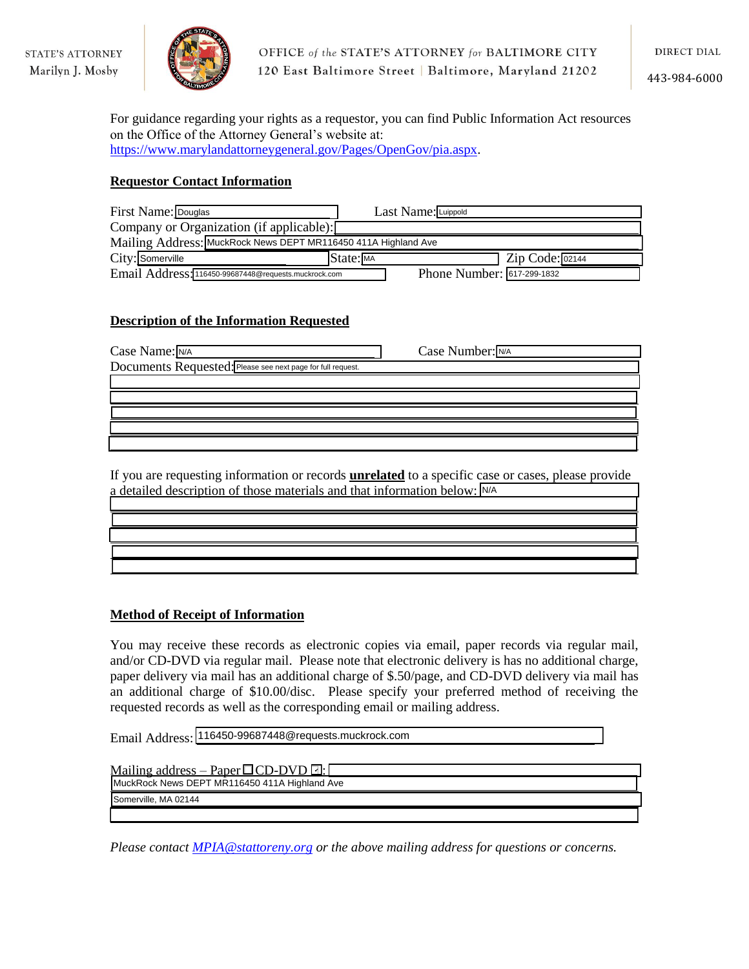

443-984-6000

For guidance regarding your rights as a requestor, you can find Public Information Act resources on the Office of the Attorney General's website at: [https://www.marylandattorneygeneral.gov/Pages/OpenGov/pia.aspx.](https://www.marylandattorneygeneral.gov/Pages/OpenGov/pia.aspx)

## **Requestor Contact Information**

| First Name: Douglas                                            | Last Name: Luippold                                |
|----------------------------------------------------------------|----------------------------------------------------|
| Company or Organization (if applicable):                       |                                                    |
| Mailing Address: MuckRock News DEPT MR116450 411A Highland Ave |                                                    |
| City: Somerville                                               | $State: \overline{\mathsf{MA}}$<br>Zip Code: 02144 |
| Email Address: 116450-99687448@requests.muckrock.com           | Phone Number: 617-299-1832                         |

## **Description of the Information Requested**

| Case Name: N/A                                              | Case Number: N/A |
|-------------------------------------------------------------|------------------|
| Documents Requested: Please see next page for full request. |                  |
|                                                             |                  |
|                                                             |                  |
|                                                             |                  |
|                                                             |                  |
|                                                             |                  |

If you are requesting information or records **unrelated** to a specific case or cases, please provide a detailed description of those materials and that information below: N/A

## **Method of Receipt of Information**

You may receive these records as electronic copies via email, paper records via regular mail, and/or CD-DVD via regular mail. Please note that electronic delivery is has no additional charge, paper delivery via mail has an additional charge of \$.50/page, and CD-DVD delivery via mail has an additional charge of \$10.00/disc. Please specify your preferred method of receiving the requested records as well as the corresponding email or mailing address.

Email Address: 116450-99687448@requests.muckrock.com

| <u>Mailing address – Paper <math>\Box</math>CD-DVD <math>\Box</math>:</u> |
|---------------------------------------------------------------------------|
| MuckRock News DEPT MR116450 411A Highland Ave                             |
| Somerville, MA 02144                                                      |
|                                                                           |

*Please contact [MPIA@stattoreny.org](mailto:MPIA@stattoreny.org) or the above mailing address for questions or concerns.*